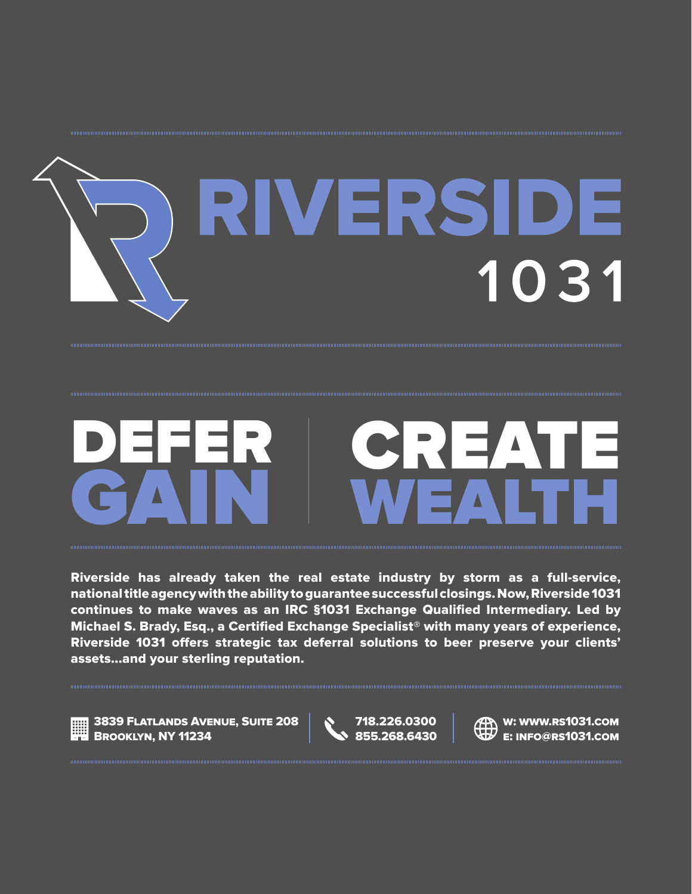

# WEALTH DEFER DEFER CREATE<br>GAIN WEALTH

Riverside has already taken the real estate industry by storm as a full-service, national title agency with the ability to guarantee successful closings. Now, Riverside 1031 continues to make waves as an IRC §1031 Exchange Qualified Intermediary. Led by Michael S. Brady, Esq., a Certified Exchange Specialist® with many years of experience, Riverside 1031 offers strategic tax deferral solutions to beer preserve your clients' assets...and your sterling reputation.

3839 Flatlands Avenue, Suite 208 Brooklyn, NY 11234

718.226.0300 855.268.6430



W: WWW.RS1031.COM e: info@rs1031.com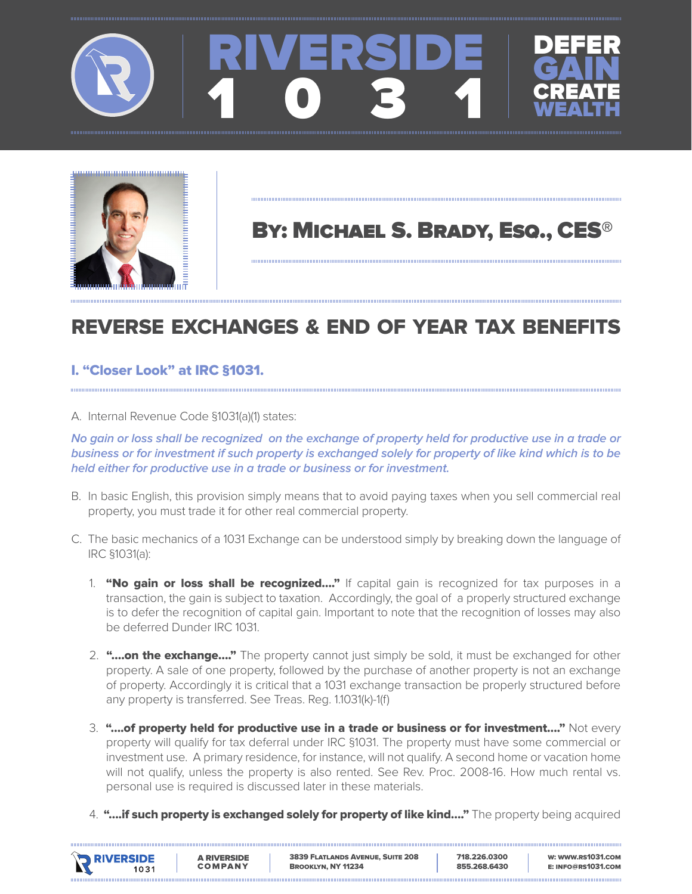



# BY: MICHAEL S. BRADY, Esq., CES®

# REVERSE EXCHANGES & END OF YEAR TAX BENEFITS

## I. "Closer Look" at IRC §1031.

A. Internal Revenue Code §1031(a)(1) states:

#### **No gain or loss shall be recognized on the exchange of property held for productive use in a trade or business or for investment if such property is exchanged solely for property of like kind which is to be held either for productive use in a trade or business or for investment.**

- B. In basic English, this provision simply means that to avoid paying taxes when you sell commercial real property, you must trade it for other real commercial property.
- C. The basic mechanics of a 1031 Exchange can be understood simply by breaking down the language of IRC §1031(a):
	- 1. "No gain or loss shall be recognized...." If capital gain is recognized for tax purposes in a transaction, the gain is subject to taxation. Accordingly, the goal of a properly structured exchange is to defer the recognition of capital gain. Important to note that the recognition of losses may also be deferred Dunder IRC 1031.
	- 2. "...on the exchange...." The property cannot just simply be sold, it must be exchanged for other property. A sale of one property, followed by the purchase of another property is not an exchange of property. Accordingly it is critical that a 1031 exchange transaction be properly structured before any property is transferred. See Treas. Reg. 1.1031(k)-1(f)
	- 3. "....of property held for productive use in a trade or business or for investment...." Not every property will qualify for tax deferral under IRC §1031. The property must have some commercial or investment use. A primary residence, for instance, will not qualify. A second home or vacation home will not qualify, unless the property is also rented. See Rev. Proc. 2008-16. How much rental vs. personal use is required is discussed later in these materials.
	- 4. "....if such property is exchanged solely for property of like kind...." The property being acquired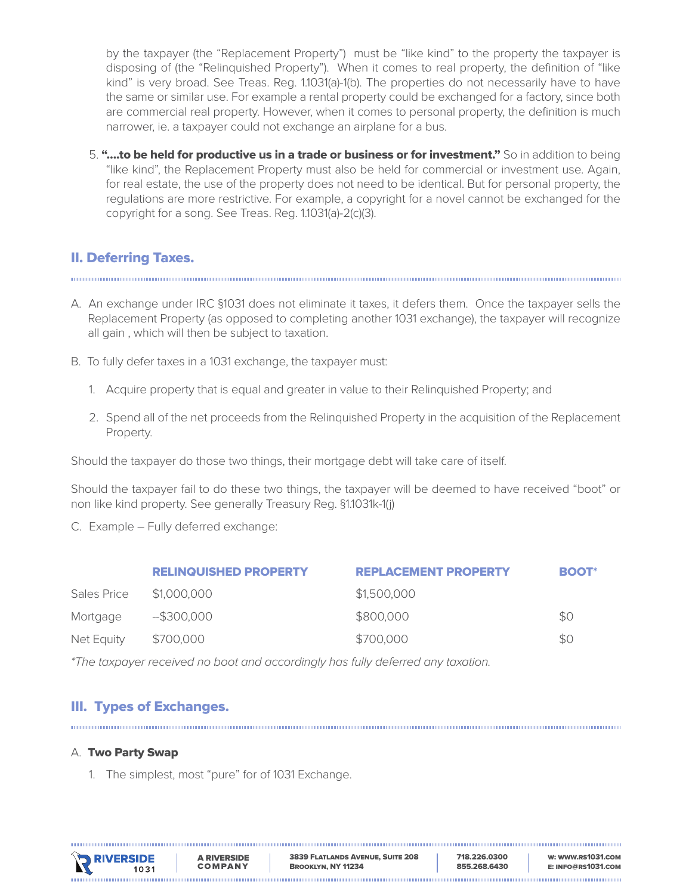by the taxpayer (the "Replacement Property") must be "like kind" to the property the taxpayer is disposing of (the "Relinquished Property"). When it comes to real property, the definition of "like kind" is very broad. See Treas. Reg. 1.1031(a)-1(b). The properties do not necessarily have to have the same or similar use. For example a rental property could be exchanged for a factory, since both are commercial real property. However, when it comes to personal property, the definition is much narrower, ie. a taxpayer could not exchange an airplane for a bus.

5. "....to be held for productive us in a trade or business or for investment." So in addition to being "like kind", the Replacement Property must also be held for commercial or investment use. Again, for real estate, the use of the property does not need to be identical. But for personal property, the regulations are more restrictive. For example, a copyright for a novel cannot be exchanged for the copyright for a song. See Treas. Reg. 1.1031(a)-2(c)(3).

## II. Deferring Taxes.

- A. An exchange under IRC §1031 does not eliminate it taxes, it defers them. Once the taxpayer sells the Replacement Property (as opposed to completing another 1031 exchange), the taxpayer will recognize all gain , which will then be subject to taxation.
- B. To fully defer taxes in a 1031 exchange, the taxpayer must:
	- 1. Acquire property that is equal and greater in value to their Relinquished Property; and
	- 2. Spend all of the net proceeds from the Relinquished Property in the acquisition of the Replacement Property.

Should the taxpayer do those two things, their mortgage debt will take care of itself.

Should the taxpayer fail to do these two things, the taxpayer will be deemed to have received "boot" or non like kind property. See generally Treasury Reg. §1.1031k-1(j)

C. Example – Fully deferred exchange:

|             | <b>RELINQUISHED PROPERTY</b> | <b>REPLACEMENT PROPERTY</b> | <b>BOOT*</b> |
|-------------|------------------------------|-----------------------------|--------------|
| Sales Price | \$1,000,000                  | \$1,500,000                 |              |
| Mortgage    | $-$ \$300,000                | \$800,000                   | \$0          |
| Net Equity  | \$700,000                    | \$700,000                   | \$0          |

*\*The taxpayer received no boot and accordingly has fully deferred any taxation.*

## III. Types of Exchanges.

#### A. Two Party Swap

1. The simplest, most "pure" for of 1031 Exchange.

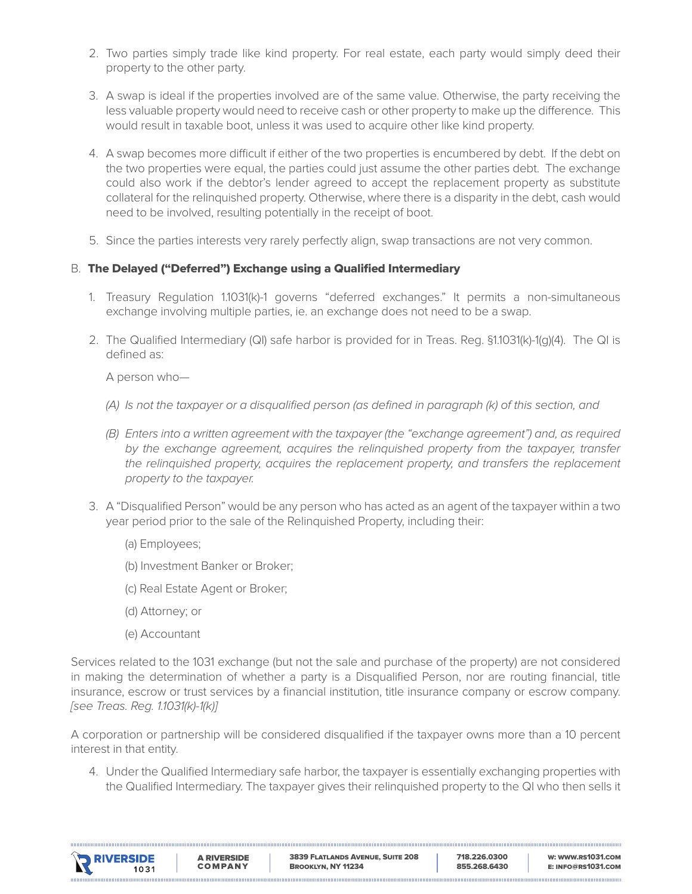- 2. Two parties simply trade like kind property. For real estate, each party would simply deed their property to the other party.
- 3. A swap is ideal if the properties involved are of the same value. Otherwise, the party receiving the less valuable property would need to receive cash or other property to make up the difference. This would result in taxable boot, unless it was used to acquire other like kind property.
- 4. A swap becomes more difficult if either of the two properties is encumbered by debt. If the debt on the two properties were equal, the parties could just assume the other parties debt. The exchange could also work if the debtor's lender agreed to accept the replacement property as substitute collateral for the relinquished property. Otherwise, where there is a disparity in the debt, cash would need to be involved, resulting potentially in the receipt of boot.
- 5. Since the parties interests very rarely perfectly align, swap transactions are not very common.

#### B. The Delayed ("Deferred") Exchange using a Qualified Intermediary

- 1. Treasury Regulation 1.1031(k)-1 governs "deferred exchanges." It permits a non-simultaneous exchange involving multiple parties, ie. an exchange does not need to be a swap.
- 2. The Qualified Intermediary (QI) safe harbor is provided for in Treas. Reg. §1.1031(k)-1(g)(4). The QI is defined as:

A person who—

- *(A) Is not the taxpayer or a disqualified person (as defined in paragraph (k) of this section, and*
- *(B) Enters into a written agreement with the taxpayer (the "exchange agreement") and, as required by the exchange agreement, acquires the relinquished property from the taxpayer, transfer*  the relinquished property, acquires the replacement property, and transfers the replacement *property to the taxpayer.*
- 3. A "Disqualified Person" would be any person who has acted as an agent of the taxpayer within a two year period prior to the sale of the Relinquished Property, including their:
	- (a) Employees;
	- (b) Investment Banker or Broker;
	- (c) Real Estate Agent or Broker;
	- (d) Attorney; or
	- (e) Accountant

Services related to the 1031 exchange (but not the sale and purchase of the property) are not considered in making the determination of whether a party is a Disqualified Person, nor are routing financial, title insurance, escrow or trust services by a financial institution, title insurance company or escrow company. *[see Treas. Reg. 1.1031(k)-1(k)]*

A corporation or partnership will be considered disqualified if the taxpayer owns more than a 10 percent interest in that entity.

4. Under the Qualified Intermediary safe harbor, the taxpayer is essentially exchanging properties with the Qualified Intermediary. The taxpayer gives their relinquished property to the QI who then sells it

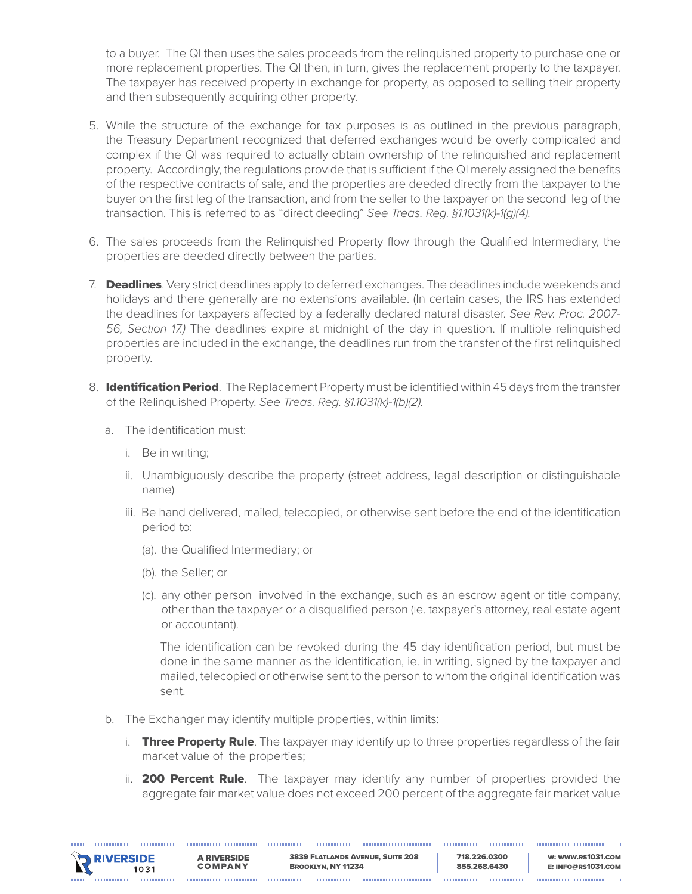to a buyer. The QI then uses the sales proceeds from the relinquished property to purchase one or more replacement properties. The QI then, in turn, gives the replacement property to the taxpayer. The taxpayer has received property in exchange for property, as opposed to selling their property and then subsequently acquiring other property.

- 5. While the structure of the exchange for tax purposes is as outlined in the previous paragraph, the Treasury Department recognized that deferred exchanges would be overly complicated and complex if the QI was required to actually obtain ownership of the relinquished and replacement property. Accordingly, the regulations provide that is sufficient if the QI merely assigned the benefits of the respective contracts of sale, and the properties are deeded directly from the taxpayer to the buyer on the first leg of the transaction, and from the seller to the taxpayer on the second leg of the transaction. This is referred to as "direct deeding" *See Treas. Reg. §1.1031(k)-1(g)(4).*
- 6. The sales proceeds from the Relinquished Property flow through the Qualified Intermediary, the properties are deeded directly between the parties.
- 7. Deadlines. Very strict deadlines apply to deferred exchanges. The deadlines include weekends and holidays and there generally are no extensions available. (In certain cases, the IRS has extended the deadlines for taxpayers affected by a federally declared natural disaster. *See Rev. Proc. 2007- 56, Section 17.)* The deadlines expire at midnight of the day in question. If multiple relinquished properties are included in the exchange, the deadlines run from the transfer of the first relinquished property.
- 8. **Identification Period**. The Replacement Property must be identified within 45 days from the transfer of the Relinquished Property. *See Treas. Reg. §1.1031(k)-1(b)(2).* 
	- a. The identification must:
		- i. Be in writing;
		- ii. Unambiguously describe the property (street address, legal description or distinguishable name)
		- iii. Be hand delivered, mailed, telecopied, or otherwise sent before the end of the identification period to:
			- (a). the Qualified Intermediary; or
			- (b). the Seller; or
			- (c). any other person involved in the exchange, such as an escrow agent or title company, other than the taxpayer or a disqualified person (ie. taxpayer's attorney, real estate agent or accountant).

The identification can be revoked during the 45 day identification period, but must be done in the same manner as the identification, ie. in writing, signed by the taxpayer and mailed, telecopied or otherwise sent to the person to whom the original identification was sent.

- b. The Exchanger may identify multiple properties, within limits:
	- i. **Three Property Rule**. The taxpayer may identify up to three properties regardless of the fair market value of the properties;
	- ii. **200 Percent Rule**. The taxpayer may identify any number of properties provided the aggregate fair market value does not exceed 200 percent of the aggregate fair market value

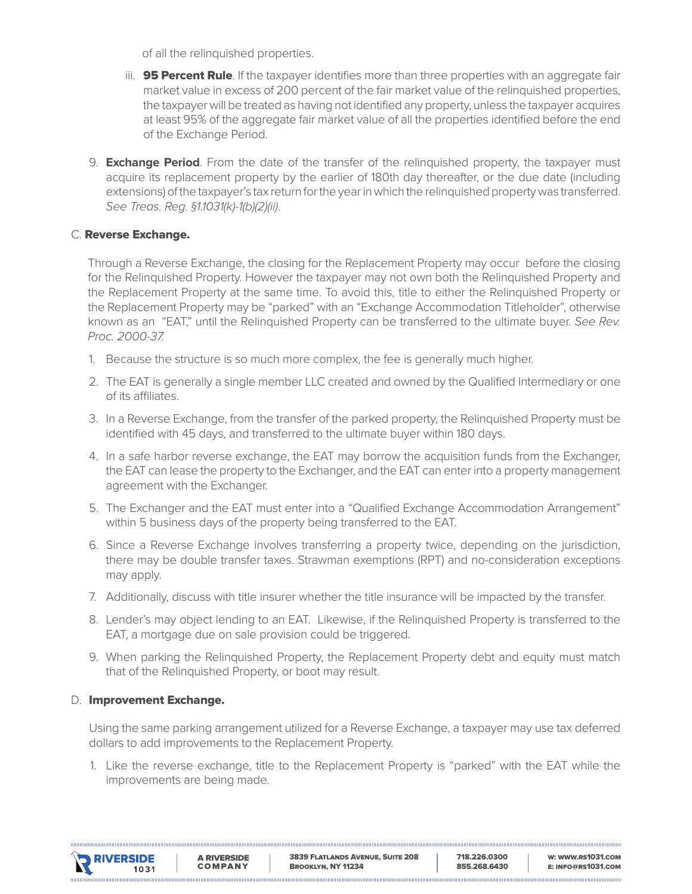of all the relinquished properties.

- iii. **95 Percent Rule**. If the taxpayer identifies more than three properties with an aggregate fair market value in excess of 200 percent of the fair market value of the relinquished properties, the taxpayer will be treated as having not identified any property, unless the taxpayer acquires at least 95% of the aggregate fair market value of all the properties identified before the end of the Exchange Period.
- 9. **Exchange Period**. From the date of the transfer of the relinquished property, the taxpayer must acquire its replacement property by the earlier of 180th day thereafter, or the due date (including extensions) of the taxpayer's tax return for the year in which the relinquished property was transferred. *See Treas. Reg. §1.1031(k)-1(b)(2)(ii)*.

#### C. Reverse Exchange.

Through a Reverse Exchange, the closing for the Replacement Property may occur before the closing for the Relinquished Property. However the taxpayer may not own both the Relinquished Property and the Replacement Property at the same time. To avoid this, title to either the Relinquished Property or the Replacement Property may be "parked" with an "Exchange Accommodation Titleholder", otherwise known as an "EAT," until the Relinquished Property can be transferred to the ultimate buyer. *See Rev. Proc. 2000-37.*

- 1. Because the structure is so much more complex, the fee is generally much higher.
- 2. The EAT is generally a single member LLC created and owned by the Qualified Intermediary or one of its affiliates.
- 3. In a Reverse Exchange, from the transfer of the parked property, the Relinquished Property must be identified with 45 days, and transferred to the ultimate buyer within 180 days.
- 4. In a safe harbor reverse exchange, the EAT may borrow the acquisition funds from the Exchanger, the EAT can lease the property to the Exchanger, and the EAT can enter into a property management agreement with the Exchanger.
- 5. The Exchanger and the EAT must enter into a "Qualified Exchange Accommodation Arrangement" within 5 business days of the property being transferred to the EAT.
- 6. Since a Reverse Exchange involves transferring a property twice, depending on the jurisdiction, there may be double transfer taxes. Strawman exemptions (RPT) and no-consideration exceptions may apply.
- 7. Additionally, discuss with title insurer whether the title insurance will be impacted by the transfer.
- 8. Lender's may object lending to an EAT. Likewise, if the Relinquished Property is transferred to the EAT, a mortgage due on sale provision could be triggered.
- 9. When parking the Relinquished Property, the Replacement Property debt and equity must match that of the Relinquished Property, or boot may result.

#### D. Improvement Exchange.

Using the same parking arrangement utilized for a Reverse Exchange, a taxpayer may use tax deferred dollars to add improvements to the Replacement Property.

1. Like the reverse exchange, title to the Replacement Property is "parked" with the EAT while the improvements are being made.

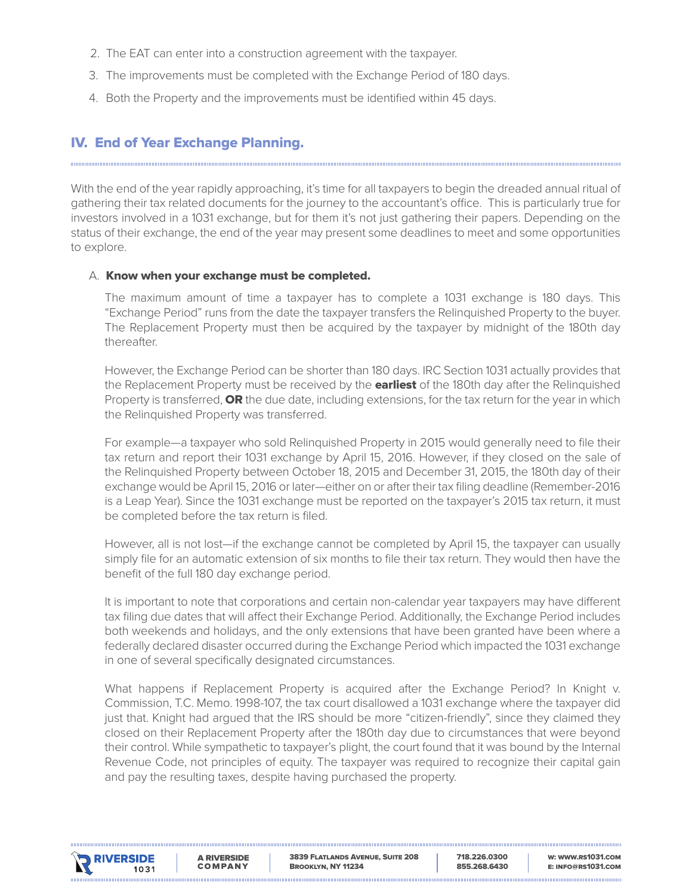- 2. The EAT can enter into a construction agreement with the taxpayer.
- 3. The improvements must be completed with the Exchange Period of 180 days.
- 4. Both the Property and the improvements must be identified within 45 days.

#### IV. End of Year Exchange Planning.

With the end of the year rapidly approaching, it's time for all taxpayers to begin the dreaded annual ritual of gathering their tax related documents for the journey to the accountant's office. This is particularly true for investors involved in a 1031 exchange, but for them it's not just gathering their papers. Depending on the status of their exchange, the end of the year may present some deadlines to meet and some opportunities to explore.

#### A. Know when your exchange must be completed.

The maximum amount of time a taxpayer has to complete a 1031 exchange is 180 days. This "Exchange Period" runs from the date the taxpayer transfers the Relinquished Property to the buyer. The Replacement Property must then be acquired by the taxpayer by midnight of the 180th day thereafter.

However, the Exchange Period can be shorter than 180 days. IRC Section 1031 actually provides that the Replacement Property must be received by the **earliest** of the 180th day after the Relinquished Property is transferred, **OR** the due date, including extensions, for the tax return for the year in which the Relinquished Property was transferred.

For example—a taxpayer who sold Relinquished Property in 2015 would generally need to file their tax return and report their 1031 exchange by April 15, 2016. However, if they closed on the sale of the Relinquished Property between October 18, 2015 and December 31, 2015, the 180th day of their exchange would be April 15, 2016 or later—either on or after their tax filing deadline (Remember-2016 is a Leap Year). Since the 1031 exchange must be reported on the taxpayer's 2015 tax return, it must be completed before the tax return is filed.

However, all is not lost—if the exchange cannot be completed by April 15, the taxpayer can usually simply file for an automatic extension of six months to file their tax return. They would then have the benefit of the full 180 day exchange period.

It is important to note that corporations and certain non-calendar year taxpayers may have different tax filing due dates that will affect their Exchange Period. Additionally, the Exchange Period includes both weekends and holidays, and the only extensions that have been granted have been where a federally declared disaster occurred during the Exchange Period which impacted the 1031 exchange in one of several specifically designated circumstances.

What happens if Replacement Property is acquired after the Exchange Period? In Knight v. Commission, T.C. Memo. 1998-107, the tax court disallowed a 1031 exchange where the taxpayer did just that. Knight had argued that the IRS should be more "citizen-friendly", since they claimed they closed on their Replacement Property after the 180th day due to circumstances that were beyond their control. While sympathetic to taxpayer's plight, the court found that it was bound by the Internal Revenue Code, not principles of equity. The taxpayer was required to recognize their capital gain and pay the resulting taxes, despite having purchased the property.



718.226.0300 855.268.6430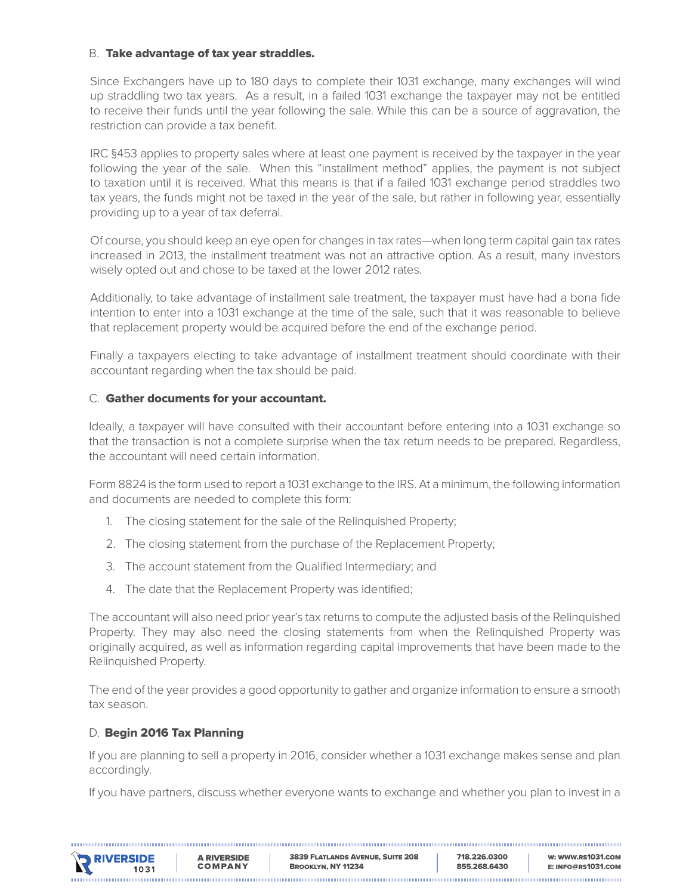#### B. Take advantage of tax year straddles.

Since Exchangers have up to 180 days to complete their 1031 exchange, many exchanges will wind up straddling two tax years. As a result, in a failed 1031 exchange the taxpayer may not be entitled to receive their funds until the year following the sale. While this can be a source of aggravation, the restriction can provide a tax benefit.

IRC §453 applies to property sales where at least one payment is received by the taxpayer in the year following the year of the sale. When this "installment method" applies, the payment is not subject to taxation until it is received. What this means is that if a failed 1031 exchange period straddles two tax years, the funds might not be taxed in the year of the sale, but rather in following year, essentially providing up to a year of tax deferral.

Of course, you should keep an eye open for changes in tax rates—when long term capital gain tax rates increased in 2013, the installment treatment was not an attractive option. As a result, many investors wisely opted out and chose to be taxed at the lower 2012 rates.

Additionally, to take advantage of installment sale treatment, the taxpayer must have had a bona fide intention to enter into a 1031 exchange at the time of the sale, such that it was reasonable to believe that replacement property would be acquired before the end of the exchange period.

Finally a taxpayers electing to take advantage of installment treatment should coordinate with their accountant regarding when the tax should be paid.

#### C. Gather documents for your accountant.

Ideally, a taxpayer will have consulted with their accountant before entering into a 1031 exchange so that the transaction is not a complete surprise when the tax return needs to be prepared. Regardless, the accountant will need certain information.

Form 8824 is the form used to report a 1031 exchange to the IRS. At a minimum, the following information and documents are needed to complete this form:

- 1. The closing statement for the sale of the Relinquished Property;
- 2. The closing statement from the purchase of the Replacement Property;
- 3. The account statement from the Qualified Intermediary; and
- 4. The date that the Replacement Property was identified;

The accountant will also need prior year's tax returns to compute the adjusted basis of the Relinquished Property. They may also need the closing statements from when the Relinquished Property was originally acquired, as well as information regarding capital improvements that have been made to the Relinquished Property.

The end of the year provides a good opportunity to gather and organize information to ensure a smooth tax season.

#### D. Begin 2016 Tax Planning

If you are planning to sell a property in 2016, consider whether a 1031 exchange makes sense and plan accordingly.

If you have partners, discuss whether everyone wants to exchange and whether you plan to invest in a